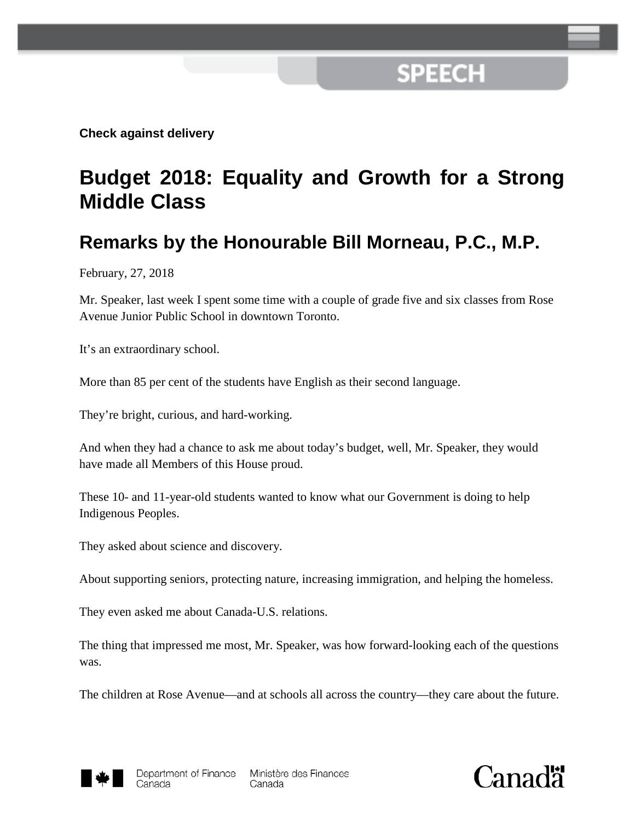## **SPEECH**

**Check against delivery**

## **Budget 2018: Equality and Growth for a Strong Middle Class**

## **Remarks by the Honourable Bill Morneau, P.C., M.P.**

February, 27, 2018

Mr. Speaker, last week I spent some time with a couple of grade five and six classes from Rose Avenue Junior Public School in downtown Toronto.

It's an extraordinary school.

More than 85 per cent of the students have English as their second language.

They're bright, curious, and hard-working.

And when they had a chance to ask me about today's budget, well, Mr. Speaker, they would have made all Members of this House proud.

These 10- and 11-year-old students wanted to know what our Government is doing to help Indigenous Peoples.

They asked about science and discovery.

About supporting seniors, protecting nature, increasing immigration, and helping the homeless.

They even asked me about Canada-U.S. relations.

The thing that impressed me most, Mr. Speaker, was how forward-looking each of the questions was.

The children at Rose Avenue—and at schools all across the country—they care about the future.



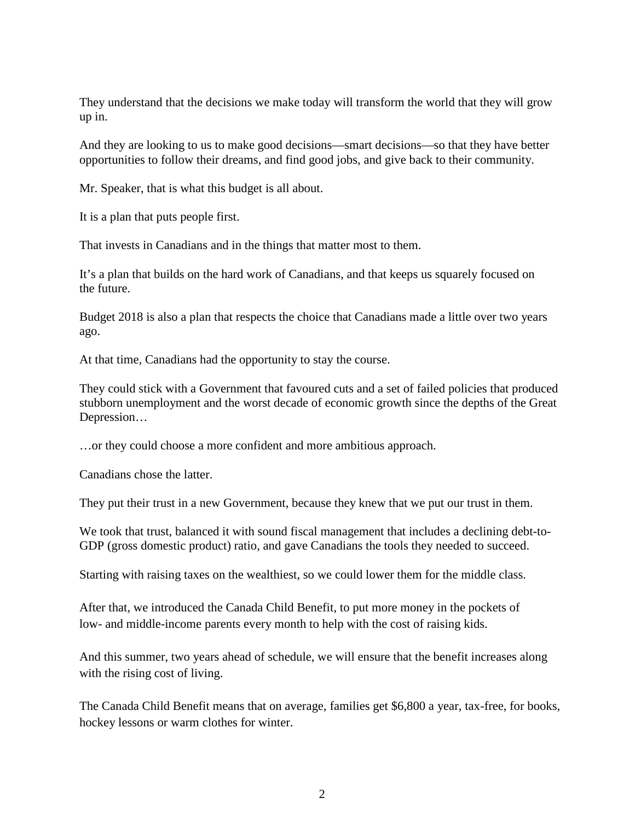They understand that the decisions we make today will transform the world that they will grow up in.

And they are looking to us to make good decisions—smart decisions—so that they have better opportunities to follow their dreams, and find good jobs, and give back to their community.

Mr. Speaker, that is what this budget is all about.

It is a plan that puts people first.

That invests in Canadians and in the things that matter most to them.

It's a plan that builds on the hard work of Canadians, and that keeps us squarely focused on the future.

Budget 2018 is also a plan that respects the choice that Canadians made a little over two years ago.

At that time, Canadians had the opportunity to stay the course.

They could stick with a Government that favoured cuts and a set of failed policies that produced stubborn unemployment and the worst decade of economic growth since the depths of the Great Depression…

…or they could choose a more confident and more ambitious approach.

Canadians chose the latter.

They put their trust in a new Government, because they knew that we put our trust in them.

We took that trust, balanced it with sound fiscal management that includes a declining debt-to-GDP (gross domestic product) ratio, and gave Canadians the tools they needed to succeed.

Starting with raising taxes on the wealthiest, so we could lower them for the middle class.

After that, we introduced the Canada Child Benefit, to put more money in the pockets of low- and middle-income parents every month to help with the cost of raising kids.

And this summer, two years ahead of schedule, we will ensure that the benefit increases along with the rising cost of living.

The Canada Child Benefit means that on average, families get \$6,800 a year, tax-free, for books, hockey lessons or warm clothes for winter.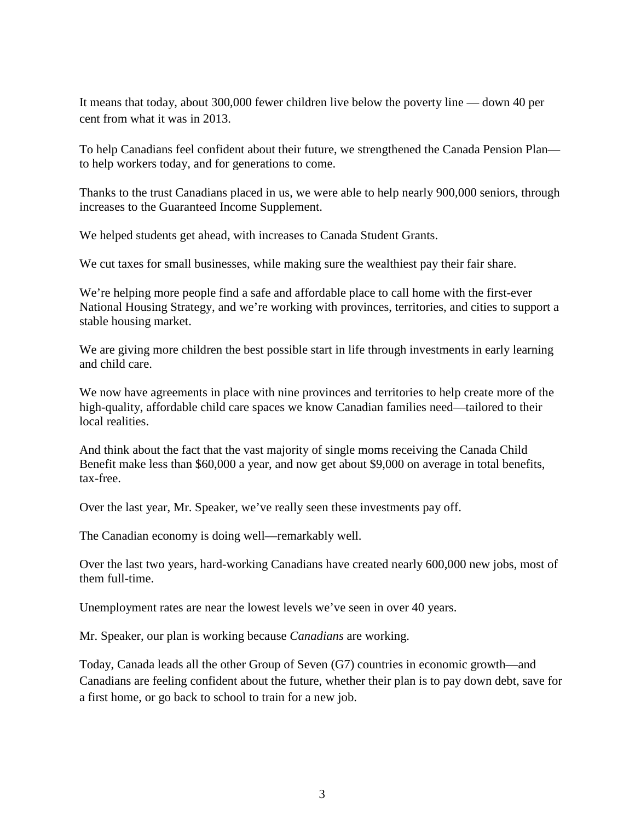It means that today, about 300,000 fewer children live below the poverty line — down 40 per cent from what it was in 2013.

To help Canadians feel confident about their future, we strengthened the Canada Pension Plan to help workers today, and for generations to come.

Thanks to the trust Canadians placed in us, we were able to help nearly 900,000 seniors, through increases to the Guaranteed Income Supplement.

We helped students get ahead, with increases to Canada Student Grants.

We cut taxes for small businesses, while making sure the wealthiest pay their fair share.

We're helping more people find a safe and affordable place to call home with the first-ever National Housing Strategy, and we're working with provinces, territories, and cities to support a stable housing market.

We are giving more children the best possible start in life through investments in early learning and child care.

We now have agreements in place with nine provinces and territories to help create more of the high-quality, affordable child care spaces we know Canadian families need—tailored to their local realities.

And think about the fact that the vast majority of single moms receiving the Canada Child Benefit make less than \$60,000 a year, and now get about \$9,000 on average in total benefits, tax-free.

Over the last year, Mr. Speaker, we've really seen these investments pay off.

The Canadian economy is doing well—remarkably well.

Over the last two years, hard-working Canadians have created nearly 600,000 new jobs, most of them full-time.

Unemployment rates are near the lowest levels we've seen in over 40 years.

Mr. Speaker, our plan is working because *Canadians* are working.

Today, Canada leads all the other Group of Seven (G7) countries in economic growth—and Canadians are feeling confident about the future, whether their plan is to pay down debt, save for a first home, or go back to school to train for a new job.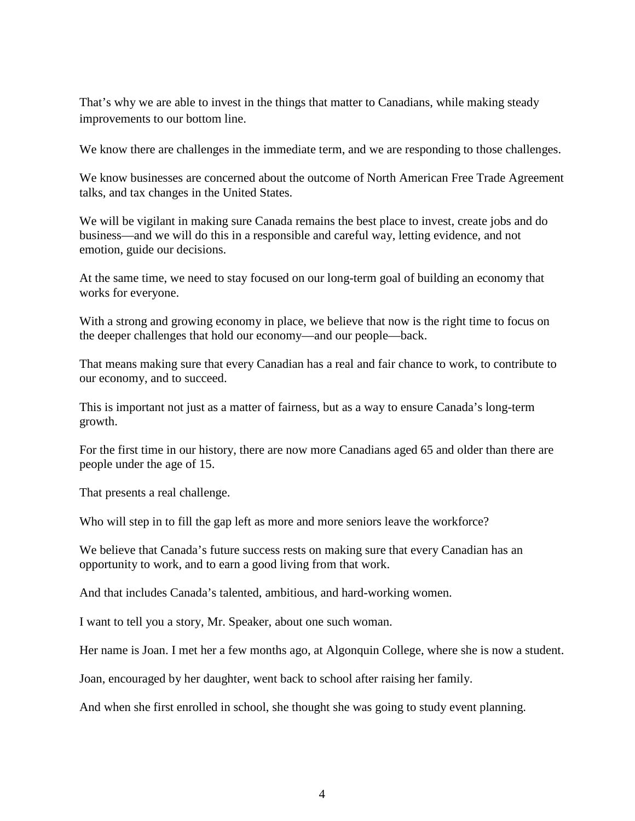That's why we are able to invest in the things that matter to Canadians, while making steady improvements to our bottom line.

We know there are challenges in the immediate term, and we are responding to those challenges.

We know businesses are concerned about the outcome of North American Free Trade Agreement talks, and tax changes in the United States.

We will be vigilant in making sure Canada remains the best place to invest, create jobs and do business—and we will do this in a responsible and careful way, letting evidence, and not emotion, guide our decisions.

At the same time, we need to stay focused on our long-term goal of building an economy that works for everyone.

With a strong and growing economy in place, we believe that now is the right time to focus on the deeper challenges that hold our economy—and our people—back.

That means making sure that every Canadian has a real and fair chance to work, to contribute to our economy, and to succeed.

This is important not just as a matter of fairness, but as a way to ensure Canada's long-term growth.

For the first time in our history, there are now more Canadians aged 65 and older than there are people under the age of 15.

That presents a real challenge.

Who will step in to fill the gap left as more and more seniors leave the workforce?

We believe that Canada's future success rests on making sure that every Canadian has an opportunity to work, and to earn a good living from that work.

And that includes Canada's talented, ambitious, and hard-working women.

I want to tell you a story, Mr. Speaker, about one such woman.

Her name is Joan. I met her a few months ago, at Algonquin College, where she is now a student.

Joan, encouraged by her daughter, went back to school after raising her family.

And when she first enrolled in school, she thought she was going to study event planning.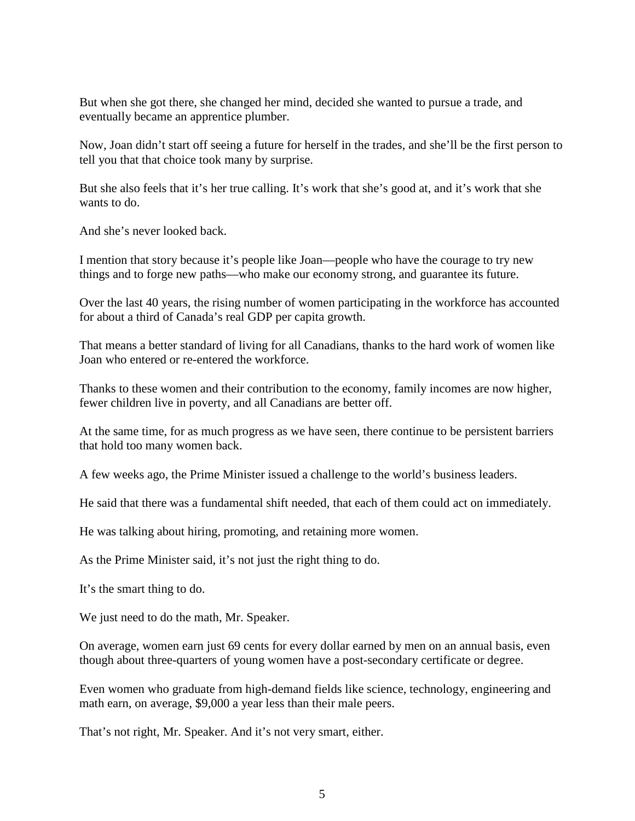But when she got there, she changed her mind, decided she wanted to pursue a trade, and eventually became an apprentice plumber.

Now, Joan didn't start off seeing a future for herself in the trades, and she'll be the first person to tell you that that choice took many by surprise.

But she also feels that it's her true calling. It's work that she's good at, and it's work that she wants to do.

And she's never looked back.

I mention that story because it's people like Joan—people who have the courage to try new things and to forge new paths—who make our economy strong, and guarantee its future.

Over the last 40 years, the rising number of women participating in the workforce has accounted for about a third of Canada's real GDP per capita growth.

That means a better standard of living for all Canadians, thanks to the hard work of women like Joan who entered or re-entered the workforce.

Thanks to these women and their contribution to the economy, family incomes are now higher, fewer children live in poverty, and all Canadians are better off.

At the same time, for as much progress as we have seen, there continue to be persistent barriers that hold too many women back.

A few weeks ago, the Prime Minister issued a challenge to the world's business leaders.

He said that there was a fundamental shift needed, that each of them could act on immediately.

He was talking about hiring, promoting, and retaining more women.

As the Prime Minister said, it's not just the right thing to do.

It's the smart thing to do.

We just need to do the math, Mr. Speaker.

On average, women earn just 69 cents for every dollar earned by men on an annual basis, even though about three-quarters of young women have a post-secondary certificate or degree.

Even women who graduate from high-demand fields like science, technology, engineering and math earn, on average, \$9,000 a year less than their male peers.

That's not right, Mr. Speaker. And it's not very smart, either.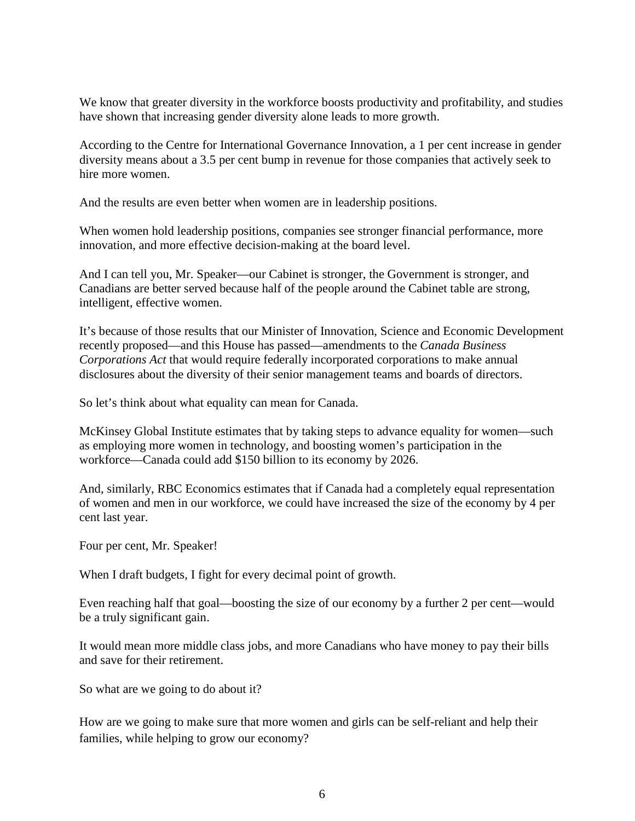We know that greater diversity in the workforce boosts productivity and profitability, and studies have shown that increasing gender diversity alone leads to more growth.

According to the Centre for International Governance Innovation, a 1 per cent increase in gender diversity means about a 3.5 per cent bump in revenue for those companies that actively seek to hire more women.

And the results are even better when women are in leadership positions.

When women hold leadership positions, companies see stronger financial performance, more innovation, and more effective decision-making at the board level.

And I can tell you, Mr. Speaker—our Cabinet is stronger, the Government is stronger, and Canadians are better served because half of the people around the Cabinet table are strong, intelligent, effective women.

It's because of those results that our Minister of Innovation, Science and Economic Development recently proposed—and this House has passed—amendments to the *Canada Business Corporations Act* that would require federally incorporated corporations to make annual disclosures about the diversity of their senior management teams and boards of directors.

So let's think about what equality can mean for Canada.

McKinsey Global Institute estimates that by taking steps to advance equality for women—such as employing more women in technology, and boosting women's participation in the workforce—Canada could add \$150 billion to its economy by 2026.

And, similarly, RBC Economics estimates that if Canada had a completely equal representation of women and men in our workforce, we could have increased the size of the economy by 4 per cent last year.

Four per cent, Mr. Speaker!

When I draft budgets, I fight for every decimal point of growth.

Even reaching half that goal—boosting the size of our economy by a further 2 per cent—would be a truly significant gain.

It would mean more middle class jobs, and more Canadians who have money to pay their bills and save for their retirement.

So what are we going to do about it?

How are we going to make sure that more women and girls can be self-reliant and help their families, while helping to grow our economy?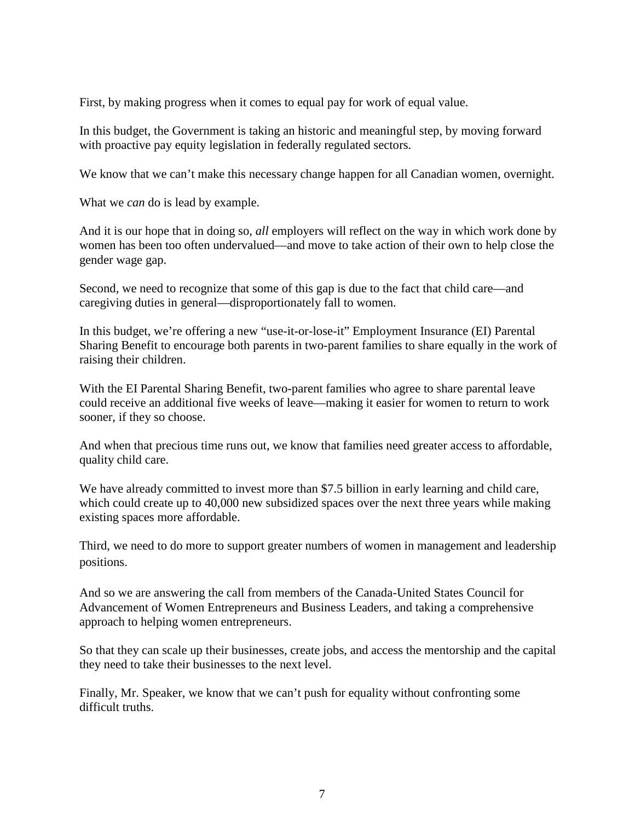First, by making progress when it comes to equal pay for work of equal value.

In this budget, the Government is taking an historic and meaningful step, by moving forward with proactive pay equity legislation in federally regulated sectors.

We know that we can't make this necessary change happen for all Canadian women, overnight.

What we *can* do is lead by example.

And it is our hope that in doing so, *all* employers will reflect on the way in which work done by women has been too often undervalued—and move to take action of their own to help close the gender wage gap.

Second, we need to recognize that some of this gap is due to the fact that child care—and caregiving duties in general—disproportionately fall to women.

In this budget, we're offering a new "use-it-or-lose-it" Employment Insurance (EI) Parental Sharing Benefit to encourage both parents in two-parent families to share equally in the work of raising their children.

With the EI Parental Sharing Benefit, two-parent families who agree to share parental leave could receive an additional five weeks of leave—making it easier for women to return to work sooner, if they so choose.

And when that precious time runs out, we know that families need greater access to affordable, quality child care.

We have already committed to invest more than \$7.5 billion in early learning and child care, which could create up to 40,000 new subsidized spaces over the next three years while making existing spaces more affordable.

Third, we need to do more to support greater numbers of women in management and leadership positions.

And so we are answering the call from members of the Canada-United States Council for Advancement of Women Entrepreneurs and Business Leaders, and taking a comprehensive approach to helping women entrepreneurs.

So that they can scale up their businesses, create jobs, and access the mentorship and the capital they need to take their businesses to the next level.

Finally, Mr. Speaker, we know that we can't push for equality without confronting some difficult truths.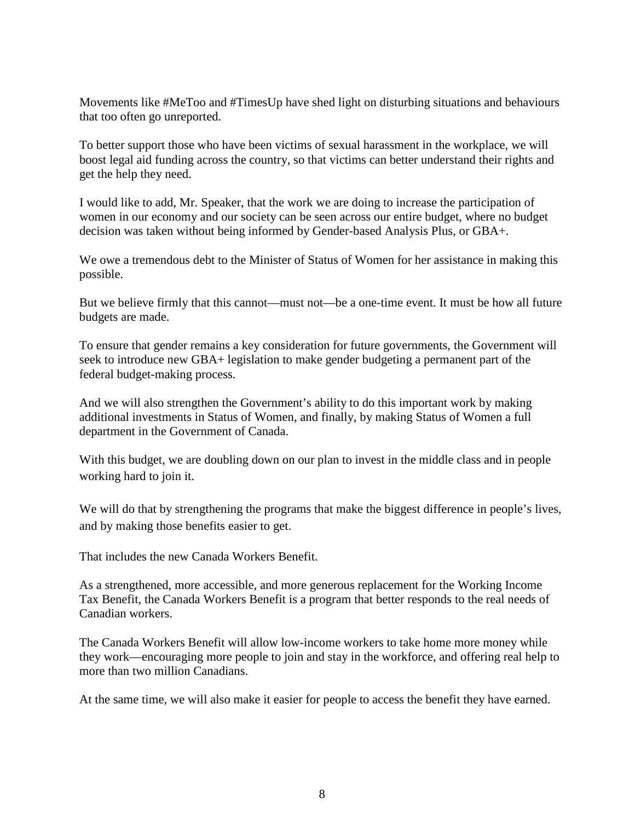Movements like #MeToo and #TimesUp have shed light on disturbing situations and behaviours that too often go unreported.

To better support those who have been victims of sexual harassment in the workplace, we will boost legal aid funding across the country, so that victims can better understand their rights and get the help they need.

I would like to add, Mr. Speaker, that the work we are doing to increase the participation of women in our economy and our society can be seen across our entire budget, where no budget decision was taken without being informed by Gender-based Analysis Plus, or GBA+.

We owe a tremendous debt to the Minister of Status of Women for her assistance in making this possible.

But we believe firmly that this cannot—must not—be a one-time event. It must be how all future budgets are made.

To ensure that gender remains a key consideration for future governments, the Government will seek to introduce new GBA+ legislation to make gender budgeting a permanent part of the federal budget-making process.

And we will also strengthen the Government's ability to do this important work by making additional investments in Status of Women, and finally, by making Status of Women a full department in the Government of Canada.

With this budget, we are doubling down on our plan to invest in the middle class and in people working hard to join it.

We will do that by strengthening the programs that make the biggest difference in people's lives, and by making those benefits easier to get.

That includes the new Canada Workers Benefit.

As a strengthened, more accessible, and more generous replacement for the Working Income Tax Benefit, the Canada Workers Benefit is a program that better responds to the real needs of Canadian workers.

The Canada Workers Benefit will allow low-income workers to take home more money while they work—encouraging more people to join and stay in the workforce, and offering real help to more than two million Canadians.

At the same time, we will also make it easier for people to access the benefit they have earned.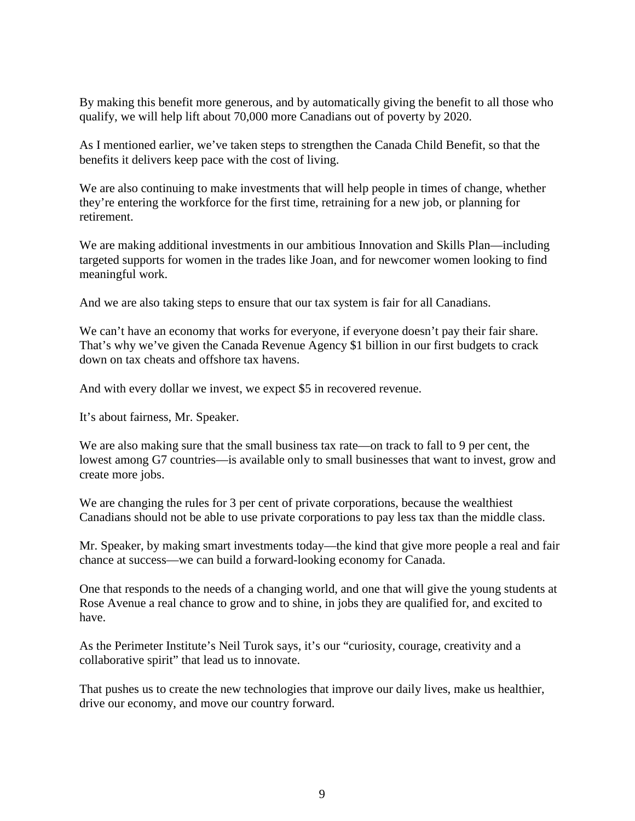By making this benefit more generous, and by automatically giving the benefit to all those who qualify, we will help lift about 70,000 more Canadians out of poverty by 2020.

As I mentioned earlier, we've taken steps to strengthen the Canada Child Benefit, so that the benefits it delivers keep pace with the cost of living.

We are also continuing to make investments that will help people in times of change, whether they're entering the workforce for the first time, retraining for a new job, or planning for retirement.

We are making additional investments in our ambitious Innovation and Skills Plan—including targeted supports for women in the trades like Joan, and for newcomer women looking to find meaningful work.

And we are also taking steps to ensure that our tax system is fair for all Canadians.

We can't have an economy that works for everyone, if everyone doesn't pay their fair share. That's why we've given the Canada Revenue Agency \$1 billion in our first budgets to crack down on tax cheats and offshore tax havens.

And with every dollar we invest, we expect \$5 in recovered revenue.

It's about fairness, Mr. Speaker.

We are also making sure that the small business tax rate—on track to fall to 9 per cent, the lowest among G7 countries—is available only to small businesses that want to invest, grow and create more jobs.

We are changing the rules for 3 per cent of private corporations, because the wealthiest Canadians should not be able to use private corporations to pay less tax than the middle class.

Mr. Speaker, by making smart investments today—the kind that give more people a real and fair chance at success—we can build a forward-looking economy for Canada.

One that responds to the needs of a changing world, and one that will give the young students at Rose Avenue a real chance to grow and to shine, in jobs they are qualified for, and excited to have.

As the Perimeter Institute's Neil Turok says, it's our "curiosity, courage, creativity and a collaborative spirit" that lead us to innovate.

That pushes us to create the new technologies that improve our daily lives, make us healthier, drive our economy, and move our country forward.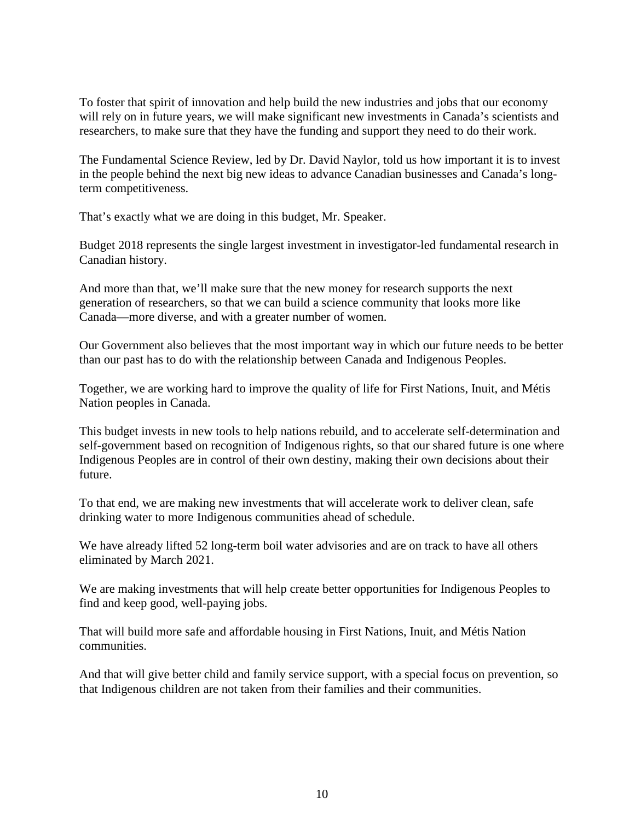To foster that spirit of innovation and help build the new industries and jobs that our economy will rely on in future years, we will make significant new investments in Canada's scientists and researchers, to make sure that they have the funding and support they need to do their work.

The Fundamental Science Review, led by Dr. David Naylor, told us how important it is to invest in the people behind the next big new ideas to advance Canadian businesses and Canada's longterm competitiveness.

That's exactly what we are doing in this budget, Mr. Speaker.

Budget 2018 represents the single largest investment in investigator-led fundamental research in Canadian history.

And more than that, we'll make sure that the new money for research supports the next generation of researchers, so that we can build a science community that looks more like Canada—more diverse, and with a greater number of women.

Our Government also believes that the most important way in which our future needs to be better than our past has to do with the relationship between Canada and Indigenous Peoples.

Together, we are working hard to improve the quality of life for First Nations, Inuit, and Métis Nation peoples in Canada.

This budget invests in new tools to help nations rebuild, and to accelerate self-determination and self-government based on recognition of Indigenous rights, so that our shared future is one where Indigenous Peoples are in control of their own destiny, making their own decisions about their future.

To that end, we are making new investments that will accelerate work to deliver clean, safe drinking water to more Indigenous communities ahead of schedule.

We have already lifted 52 long-term boil water advisories and are on track to have all others eliminated by March 2021.

We are making investments that will help create better opportunities for Indigenous Peoples to find and keep good, well-paying jobs.

That will build more safe and affordable housing in First Nations, Inuit, and Métis Nation communities.

And that will give better child and family service support, with a special focus on prevention, so that Indigenous children are not taken from their families and their communities.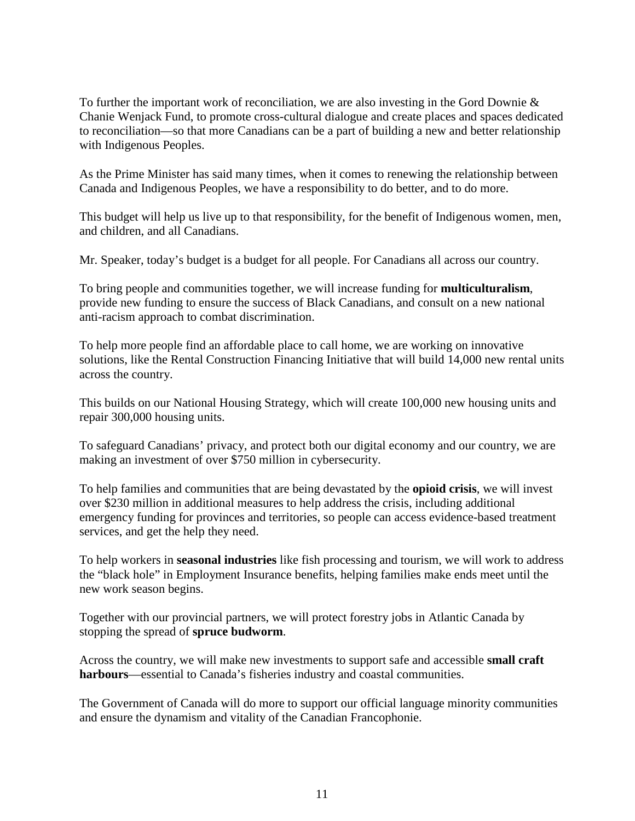To further the important work of reconciliation, we are also investing in the Gord Downie & Chanie Wenjack Fund, to promote cross-cultural dialogue and create places and spaces dedicated to reconciliation—so that more Canadians can be a part of building a new and better relationship with Indigenous Peoples.

As the Prime Minister has said many times, when it comes to renewing the relationship between Canada and Indigenous Peoples, we have a responsibility to do better, and to do more.

This budget will help us live up to that responsibility, for the benefit of Indigenous women, men, and children, and all Canadians.

Mr. Speaker, today's budget is a budget for all people. For Canadians all across our country.

To bring people and communities together, we will increase funding for **multiculturalism**, provide new funding to ensure the success of Black Canadians, and consult on a new national anti-racism approach to combat discrimination.

To help more people find an affordable place to call home, we are working on innovative solutions, like the Rental Construction Financing Initiative that will build 14,000 new rental units across the country.

This builds on our National Housing Strategy, which will create 100,000 new housing units and repair 300,000 housing units.

To safeguard Canadians' privacy, and protect both our digital economy and our country, we are making an investment of over \$750 million in cybersecurity.

To help families and communities that are being devastated by the **opioid crisis**, we will invest over \$230 million in additional measures to help address the crisis, including additional emergency funding for provinces and territories, so people can access evidence-based treatment services, and get the help they need.

To help workers in **seasonal industries** like fish processing and tourism, we will work to address the "black hole" in Employment Insurance benefits, helping families make ends meet until the new work season begins.

Together with our provincial partners, we will protect forestry jobs in Atlantic Canada by stopping the spread of **spruce budworm**.

Across the country, we will make new investments to support safe and accessible **small craft harbours**—essential to Canada's fisheries industry and coastal communities.

The Government of Canada will do more to support our official language minority communities and ensure the dynamism and vitality of the Canadian Francophonie.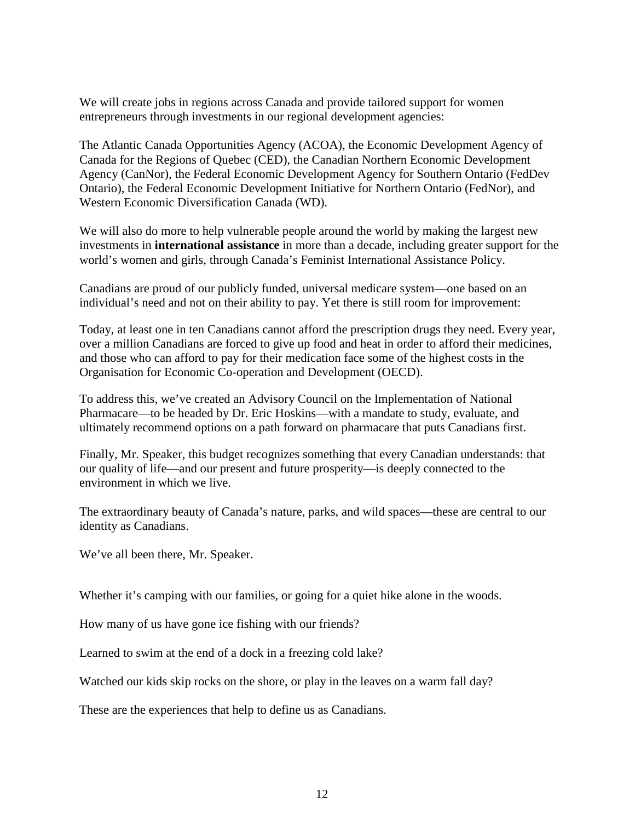We will create jobs in regions across Canada and provide tailored support for women entrepreneurs through investments in our regional development agencies:

The Atlantic Canada Opportunities Agency (ACOA), the Economic Development Agency of Canada for the Regions of Quebec (CED), the Canadian Northern Economic Development Agency (CanNor), the Federal Economic Development Agency for Southern Ontario (FedDev Ontario), the Federal Economic Development Initiative for Northern Ontario (FedNor), and Western Economic Diversification Canada (WD).

We will also do more to help vulnerable people around the world by making the largest new investments in **international assistance** in more than a decade, including greater support for the world's women and girls, through Canada's Feminist International Assistance Policy.

Canadians are proud of our publicly funded, universal medicare system—one based on an individual's need and not on their ability to pay. Yet there is still room for improvement:

Today, at least one in ten Canadians cannot afford the prescription drugs they need. Every year, over a million Canadians are forced to give up food and heat in order to afford their medicines, and those who can afford to pay for their medication face some of the highest costs in the Organisation for Economic Co-operation and Development (OECD).

To address this, we've created an Advisory Council on the Implementation of National Pharmacare—to be headed by Dr. Eric Hoskins—with a mandate to study, evaluate, and ultimately recommend options on a path forward on pharmacare that puts Canadians first.

Finally, Mr. Speaker, this budget recognizes something that every Canadian understands: that our quality of life—and our present and future prosperity—is deeply connected to the environment in which we live.

The extraordinary beauty of Canada's nature, parks, and wild spaces—these are central to our identity as Canadians.

We've all been there, Mr. Speaker.

Whether it's camping with our families, or going for a quiet hike alone in the woods.

How many of us have gone ice fishing with our friends?

Learned to swim at the end of a dock in a freezing cold lake?

Watched our kids skip rocks on the shore, or play in the leaves on a warm fall day?

These are the experiences that help to define us as Canadians.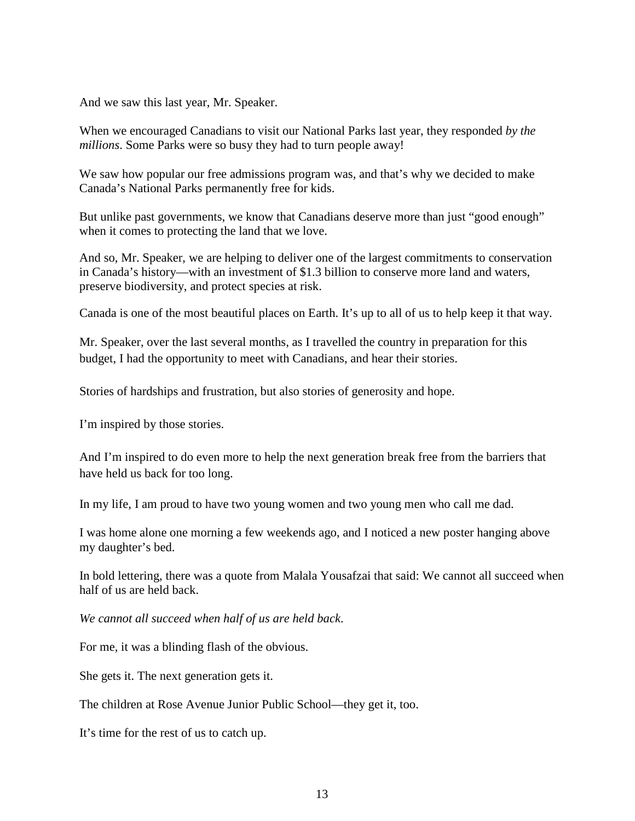And we saw this last year, Mr. Speaker.

When we encouraged Canadians to visit our National Parks last year, they responded *by the millions*. Some Parks were so busy they had to turn people away!

We saw how popular our free admissions program was, and that's why we decided to make Canada's National Parks permanently free for kids.

But unlike past governments, we know that Canadians deserve more than just "good enough" when it comes to protecting the land that we love.

And so, Mr. Speaker, we are helping to deliver one of the largest commitments to conservation in Canada's history—with an investment of \$1.3 billion to conserve more land and waters, preserve biodiversity, and protect species at risk.

Canada is one of the most beautiful places on Earth. It's up to all of us to help keep it that way.

Mr. Speaker, over the last several months, as I travelled the country in preparation for this budget, I had the opportunity to meet with Canadians, and hear their stories.

Stories of hardships and frustration, but also stories of generosity and hope.

I'm inspired by those stories.

And I'm inspired to do even more to help the next generation break free from the barriers that have held us back for too long.

In my life, I am proud to have two young women and two young men who call me dad.

I was home alone one morning a few weekends ago, and I noticed a new poster hanging above my daughter's bed.

In bold lettering, there was a quote from Malala Yousafzai that said: We cannot all succeed when half of us are held back.

*We cannot all succeed when half of us are held back*.

For me, it was a blinding flash of the obvious.

She gets it. The next generation gets it.

The children at Rose Avenue Junior Public School—they get it, too.

It's time for the rest of us to catch up.